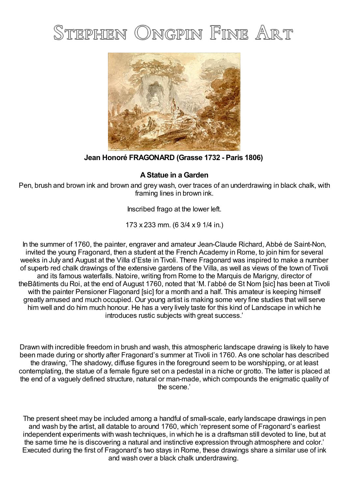# STEPHEN ONGPIN FINE ART



**Jean Honoré FRAGONARD (Grasse 1732 - Paris 1806)**

## **AStatue in a Garden**

Pen, brush and brown ink and brown and grey wash, over traces of an underdrawing in black chalk, with framing lines in brown ink.

Inscribed frago at the lower left.

173 x 233 mm. (6 3/4 x 9 1/4 in.)

In the summer of 1760, the painter, engraver and amateur Jean-Claude Richard, Abbé de Saint-Non, invited the young Fragonard, then a student at the French Academy in Rome, to join him for several weeks in July and August at the Villa d'Este in Tivoli. There Fragonard was inspired to make a number of superb red chalk drawings of the extensive gardens of the Villa, as well as views of the town of Tivoli and its famous waterfalls. Natoire, writing from Rome to the Marquis de Marigny, director of theBâtiments du Roi, at the end of August 1760, noted that 'M. l'abbé de St Nom [sic] has been at Tivoli with the painter Pensioner Flagonard [sic] for a month and a half. This amateur is keeping himself greatly amused and much occupied. Our young artist is making some very fine studies that will serve him well and do him much honour. He has a very lively taste for this kind of Landscape in which he introduces rustic subjects with great success.'

Drawn with incredible freedom in brush and wash, this atmospheric landscape drawing is likely to have been made during or shortly after Fragonard's summer at Tivoli in 1760. As one scholar has described the drawing, 'The shadowy, diffuse figures in the foreground seem to be worshipping, or at least contemplating, the statue of a female figure set on a pedestal in a niche or grotto. The latter is placed at the end of a vaguely defined structure, natural or man-made, which compounds the enigmatic quality of the scene.'

The present sheet may be included among a handful of small-scale, early landscape drawings in pen and wash by the artist, all datable to around 1760, which 'represent some of Fragonard's earliest independent experiments with wash techniques, in which he is a draftsman still devoted to line, but at the same time he is discovering a natural and instinctive expression through atmosphere and color.' Executed during the first of Fragonard's two stays in Rome, these drawings share a similar use of ink and wash over a black chalk underdrawing.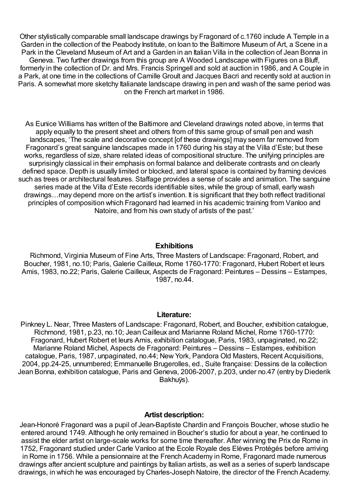Other stylistically comparable small landscape drawings by Fragonard of c.1760 include A Temple in a Garden in the collection of the Peabody Institute, on loan to the Baltimore Museum of Art, a Scene in a Park in the Cleveland Museum of Art and a Garden in an Italian Villa in the collection of Jean Bonna in Geneva. Two further drawings from this group are A Wooded Landscape with Figures on a Bluff, formerly in the collection of Dr. and Mrs. Francis Springell and sold at auction in 1986, and A Couple in a Park, at one time in the collections of Camille Groult and Jacques Bacri and recently sold at auction in Paris. A somewhat more sketchy Italianate landscape drawing in pen and wash of the same period was on the French art market in 1986.

As Eunice Williams has written of the Baltimore and Cleveland drawings noted above, in terms that apply equally to the present sheet and others from of this same group of small pen and wash landscapes, 'The scale and decorative concept [of these drawings] may seem far removed from Fragonard's great sanguine landscapes made in 1760 during his stay at the Villa d'Este; but these works, regardless of size, share related ideas of compositional structure. The unifying principles are surprisingly classical in their emphasis on formal balance and deliberate contrasts and on clearly defined space. Depth is usually limited or blocked, and lateral space is contained by framing devices such as trees or architectural features. Staffage provides a sense of scale and animation. The sanguine series made at the Villa d'Este records identifiable sites, while the group of small, early wash drawings…may depend more on the artist's invention. It is significant that they both reflect traditional principles of composition which Fragonard had learned in his academic training from Vanloo and Natoire, and from his own study of artists of the past.'

### **Exhibitions**

Richmond, Virginia Museum of Fine Arts, Three Masters of Landscape: Fragonard, Robert, and Boucher, 1981, no.10; Paris, Galerie Cailleux, Rome 1760-1770: Fragonard, Hubert Robert et leurs Amis, 1983, no.22; Paris, Galerie Cailleux, Aspects de Fragonard: Peintures – Dessins – Estampes, 1987, no.44.

### **Literature:**

Pinkney L. Near, Three Masters of Landscape: Fragonard, Robert, and Boucher, exhibition catalogue, Richmond, 1981, p.23, no.10; Jean Cailleux and Marianne Roland Michel, Rome 1760-1770: Fragonard, Hubert Robert et leurs Amis, exhibition catalogue, Paris, 1983, unpaginated, no.22; Marianne Roland Michel, Aspects de Fragonard: Peintures – Dessins – Estampes, exhibition catalogue, Paris, 1987, unpaginated, no.44; New York, Pandora Old Masters, Recent Acquisitions, 2004, pp.24-25, unnumbered; Emmanuelle Brugerolles, ed., Suite française: Dessins de la collection Jean Bonna, exhibition catalogue, Paris and Geneva, 2006-2007, p.203, under no.47 (entry by Diederik Bakhuÿs).

### **Artist description:**

Jean-Honoré Fragonard was a pupil of Jean-Baptiste Chardin and François Boucher, whose studio he entered around 1749. Although he only remained in Boucher's studio for about a year, he continued to assist the elder artist on large-scale works for some time thereafter. After winning the Prix de Rome in 1752, Fragonard studied under Carle Vanloo at the Ecole Royale des Elèves Protégés before arriving in Rome in 1756. While a pensionnaire at the French Academy in Rome, Fragonard made numerous drawings after ancient sculpture and paintings by Italian artists, as well as a series of superb landscape drawings, in which he was encouraged by Charles-Joseph Natoire, the director of the French Academy.